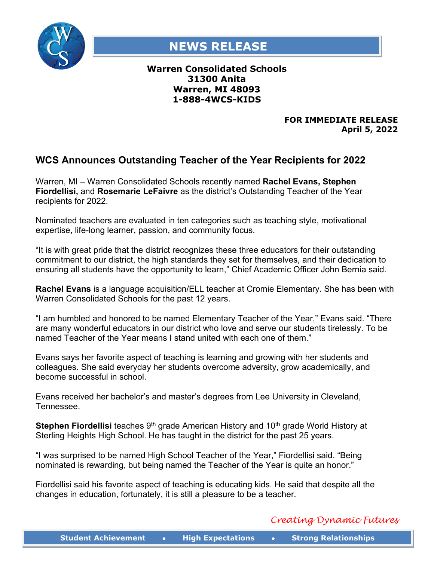

## **NEWS RELEASE**

## **Warren Consolidated Schools 31300 Anita Warren, MI 48093 1-888-4WCS-KIDS**

## **FOR IMMEDIATE RELEASE April 5, 2022**

## **WCS Announces Outstanding Teacher of the Year Recipients for 2022**

Warren, MI – Warren Consolidated Schools recently named **Rachel Evans, Stephen Fiordellisi,** and **Rosemarie LeFaivre** as the district's Outstanding Teacher of the Year recipients for 2022.

Nominated teachers are evaluated in ten categories such as teaching style, motivational expertise, life-long learner, passion, and community focus.

"It is with great pride that the district recognizes these three educators for their outstanding commitment to our district, the high standards they set for themselves, and their dedication to ensuring all students have the opportunity to learn," Chief Academic Officer John Bernia said.

**Rachel Evans** is a language acquisition/ELL teacher at Cromie Elementary. She has been with Warren Consolidated Schools for the past 12 years.

"I am humbled and honored to be named Elementary Teacher of the Year," Evans said. "There are many wonderful educators in our district who love and serve our students tirelessly. To be named Teacher of the Year means I stand united with each one of them."

Evans says her favorite aspect of teaching is learning and growing with her students and colleagues. She said everyday her students overcome adversity, grow academically, and become successful in school.

Evans received her bachelor's and master's degrees from Lee University in Cleveland, **Tennessee** 

**Stephen Fiordellisi** teaches 9<sup>th</sup> grade American History and 10<sup>th</sup> grade World History at Sterling Heights High School. He has taught in the district for the past 25 years.

"I was surprised to be named High School Teacher of the Year," Fiordellisi said. "Being nominated is rewarding, but being named the Teacher of the Year is quite an honor."

Fiordellisi said his favorite aspect of teaching is educating kids. He said that despite all the changes in education, fortunately, it is still a pleasure to be a teacher.

*Creating Dynamic Futures*